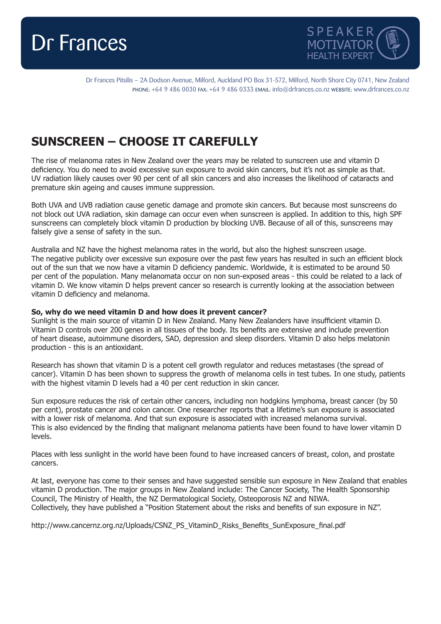



Dr Frances Pitsilis – 2A Dodson Avenue, Milford, Auckland PO Box 31-572, Milford, North Shore City 0741, New Zealand PHONE: +64 9 486 0030 FAX: +64 9 486 0333 EMAIL: info@drfrances.co.nz WEBSITE: www.drfrances.co.nz

## **SUNSCREEN – CHOOSE IT CAREFULLY**

The rise of melanoma rates in New Zealand over the years may be related to sunscreen use and vitamin D deficiency. You do need to avoid excessive sun exposure to avoid skin cancers, but it's not as simple as that. UV radiation likely causes over 90 per cent of all skin cancers and also increases the likelihood of cataracts and premature skin ageing and causes immune suppression.

Both UVA and UVB radiation cause genetic damage and promote skin cancers. But because most sunscreens do not block out UVA radiation, skin damage can occur even when sunscreen is applied. In addition to this, high SPF sunscreens can completely block vitamin D production by blocking UVB. Because of all of this, sunscreens may falsely give a sense of safety in the sun.

Australia and NZ have the highest melanoma rates in the world, but also the highest sunscreen usage. The negative publicity over excessive sun exposure over the past few years has resulted in such an efficient block out of the sun that we now have a vitamin D deficiency pandemic. Worldwide, it is estimated to be around 50 per cent of the population. Many melanomata occur on non sun-exposed areas - this could be related to a lack of vitamin D. We know vitamin D helps prevent cancer so research is currently looking at the association between vitamin D deficiency and melanoma.

## **So, why do we need vitamin D and how does it prevent cancer?**

Sunlight is the main source of vitamin D in New Zealand. Many New Zealanders have insufficient vitamin D. Vitamin D controls over 200 genes in all tissues of the body. Its benefits are extensive and include prevention of heart disease, autoimmune disorders, SAD, depression and sleep disorders. Vitamin D also helps melatonin production - this is an antioxidant.

Research has shown that vitamin D is a potent cell growth regulator and reduces metastases (the spread of cancer). Vitamin D has been shown to suppress the growth of melanoma cells in test tubes. In one study, patients with the highest vitamin D levels had a 40 per cent reduction in skin cancer.

Sun exposure reduces the risk of certain other cancers, including non hodgkins lymphoma, breast cancer (by 50 per cent), prostate cancer and colon cancer. One researcher reports that a lifetime's sun exposure is associated with a lower risk of melanoma. And that sun exposure is associated with increased melanoma survival. This is also evidenced by the finding that malignant melanoma patients have been found to have lower vitamin D levels.

Places with less sunlight in the world have been found to have increased cancers of breast, colon, and prostate cancers.

At last, everyone has come to their senses and have suggested sensible sun exposure in New Zealand that enables vitamin D production. The major groups in New Zealand include: The Cancer Society, The Health Sponsorship Council, The Ministry of Health, the NZ Dermatological Society, Osteoporosis NZ and NIWA. Collectively, they have published a "Position Statement about the risks and benefits of sun exposure in NZ".

http://www.cancernz.org.nz/Uploads/CSNZ\_PS\_VitaminD\_Risks\_Benefits\_SunExposure\_final.pdf